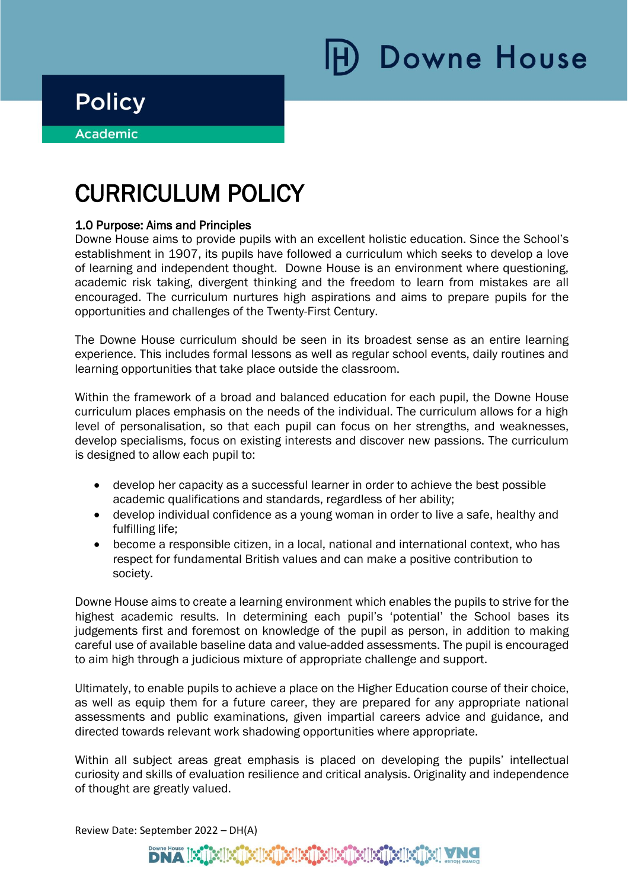## **Policy**

i

**Academic** ٦

# CURRICULUM POLICY

#### 1.0 Purpose: Aims and Principles

Downe House aims to provide pupils with an excellent holistic education. Since the School's establishment in 1907, its pupils have followed a curriculum which seeks to develop a love of learning and independent thought. Downe House is an environment where questioning, academic risk taking, divergent thinking and the freedom to learn from mistakes are all encouraged. The curriculum nurtures high aspirations and aims to prepare pupils for the opportunities and challenges of the Twenty-First Century.

The Downe House curriculum should be seen in its broadest sense as an entire learning experience. This includes formal lessons as well as regular school events, daily routines and learning opportunities that take place outside the classroom.

Within the framework of a broad and balanced education for each pupil, the Downe House curriculum places emphasis on the needs of the individual. The curriculum allows for a high level of personalisation, so that each pupil can focus on her strengths, and weaknesses, develop specialisms, focus on existing interests and discover new passions. The curriculum is designed to allow each pupil to:

- develop her capacity as a successful learner in order to achieve the best possible academic qualifications and standards, regardless of her ability;
- develop individual confidence as a young woman in order to live a safe, healthy and fulfilling life;
- become a responsible citizen, in a local, national and international context, who has respect for fundamental British values and can make a positive contribution to society.

Downe House aims to create a learning environment which enables the pupils to strive for the highest academic results. In determining each pupil's 'potential' the School bases its judgements first and foremost on knowledge of the pupil as person, in addition to making careful use of available baseline data and value-added assessments. The pupil is encouraged to aim high through a judicious mixture of appropriate challenge and support.

Ultimately, to enable pupils to achieve a place on the Higher Education course of their choice, as well as equip them for a future career, they are prepared for any appropriate national assessments and public examinations, given impartial careers advice and guidance, and directed towards relevant work shadowing opportunities where appropriate.

Within all subject areas great emphasis is placed on developing the pupils' intellectual curiosity and skills of evaluation resilience and critical analysis. Originality and independence of thought are greatly valued.

Review Date: September 2022 – DH(A)

### <u>ESTES ESTES ESTES EN </u>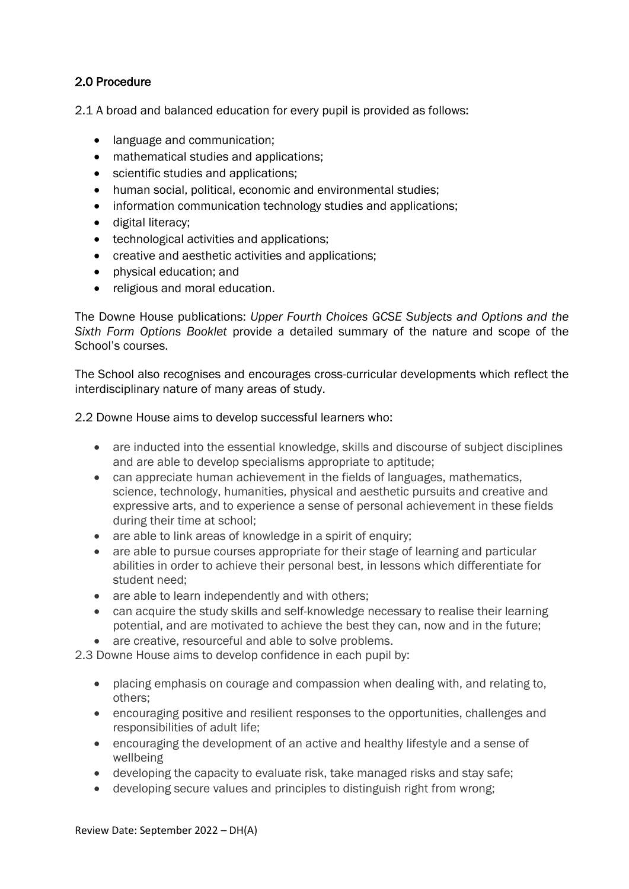#### 2.0 Procedure

2.1 A broad and balanced education for every pupil is provided as follows:

- language and communication;
- mathematical studies and applications:
- scientific studies and applications;
- human social, political, economic and environmental studies;
- information communication technology studies and applications;
- digital literacy;
- technological activities and applications;
- creative and aesthetic activities and applications;
- physical education; and
- religious and moral education.

The Downe House publications: *Upper Fourth Choices GCSE Subjects and Options and the Sixth Form Options Booklet* provide a detailed summary of the nature and scope of the School's courses.

The School also recognises and encourages cross-curricular developments which reflect the interdisciplinary nature of many areas of study.

#### 2.2 Downe House aims to develop successful learners who:

- are inducted into the essential knowledge, skills and discourse of subject disciplines and are able to develop specialisms appropriate to aptitude;
- can appreciate human achievement in the fields of languages, mathematics, science, technology, humanities, physical and aesthetic pursuits and creative and expressive arts, and to experience a sense of personal achievement in these fields during their time at school;
- are able to link areas of knowledge in a spirit of enquiry;
- are able to pursue courses appropriate for their stage of learning and particular abilities in order to achieve their personal best, in lessons which differentiate for student need;
- are able to learn independently and with others;
- can acquire the study skills and self-knowledge necessary to realise their learning potential, and are motivated to achieve the best they can, now and in the future;
- are creative, resourceful and able to solve problems.

2.3 Downe House aims to develop confidence in each pupil by:

- placing emphasis on courage and compassion when dealing with, and relating to, others;
- encouraging positive and resilient responses to the opportunities, challenges and responsibilities of adult life;
- encouraging the development of an active and healthy lifestyle and a sense of wellbeing
- developing the capacity to evaluate risk, take managed risks and stay safe;
- developing secure values and principles to distinguish right from wrong;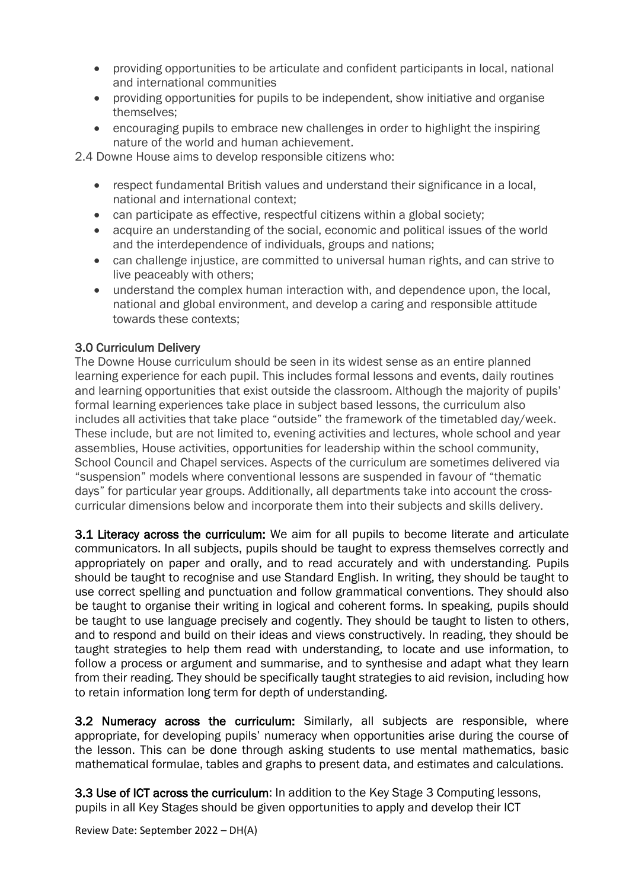- providing opportunities to be articulate and confident participants in local, national and international communities
- providing opportunities for pupils to be independent, show initiative and organise themselves;
- encouraging pupils to embrace new challenges in order to highlight the inspiring nature of the world and human achievement.

2.4 Downe House aims to develop responsible citizens who:

- respect fundamental British values and understand their significance in a local, national and international context;
- can participate as effective, respectful citizens within a global society;
- acquire an understanding of the social, economic and political issues of the world and the interdependence of individuals, groups and nations;
- can challenge injustice, are committed to universal human rights, and can strive to live peaceably with others;
- understand the complex human interaction with, and dependence upon, the local, national and global environment, and develop a caring and responsible attitude towards these contexts;

#### 3.0 Curriculum Delivery

The Downe House curriculum should be seen in its widest sense as an entire planned learning experience for each pupil. This includes formal lessons and events, daily routines and learning opportunities that exist outside the classroom. Although the majority of pupils' formal learning experiences take place in subject based lessons, the curriculum also includes all activities that take place "outside" the framework of the timetabled day/week. These include, but are not limited to, evening activities and lectures, whole school and year assemblies, House activities, opportunities for leadership within the school community, School Council and Chapel services. Aspects of the curriculum are sometimes delivered via "suspension" models where conventional lessons are suspended in favour of "thematic days" for particular year groups. Additionally, all departments take into account the crosscurricular dimensions below and incorporate them into their subjects and skills delivery.

3.1 Literacy across the curriculum: We aim for all pupils to become literate and articulate communicators. In all subjects, pupils should be taught to express themselves correctly and appropriately on paper and orally, and to read accurately and with understanding. Pupils should be taught to recognise and use Standard English. In writing, they should be taught to use correct spelling and punctuation and follow grammatical conventions. They should also be taught to organise their writing in logical and coherent forms. In speaking, pupils should be taught to use language precisely and cogently. They should be taught to listen to others, and to respond and build on their ideas and views constructively. In reading, they should be taught strategies to help them read with understanding, to locate and use information, to follow a process or argument and summarise, and to synthesise and adapt what they learn from their reading. They should be specifically taught strategies to aid revision, including how to retain information long term for depth of understanding.

3.2 Numeracy across the curriculum: Similarly, all subjects are responsible, where appropriate, for developing pupils' numeracy when opportunities arise during the course of the lesson. This can be done through asking students to use mental mathematics, basic mathematical formulae, tables and graphs to present data, and estimates and calculations.

3.3 Use of ICT across the curriculum: In addition to the Key Stage 3 Computing lessons, pupils in all Key Stages should be given opportunities to apply and develop their ICT

Review Date: September 2022 – DH(A)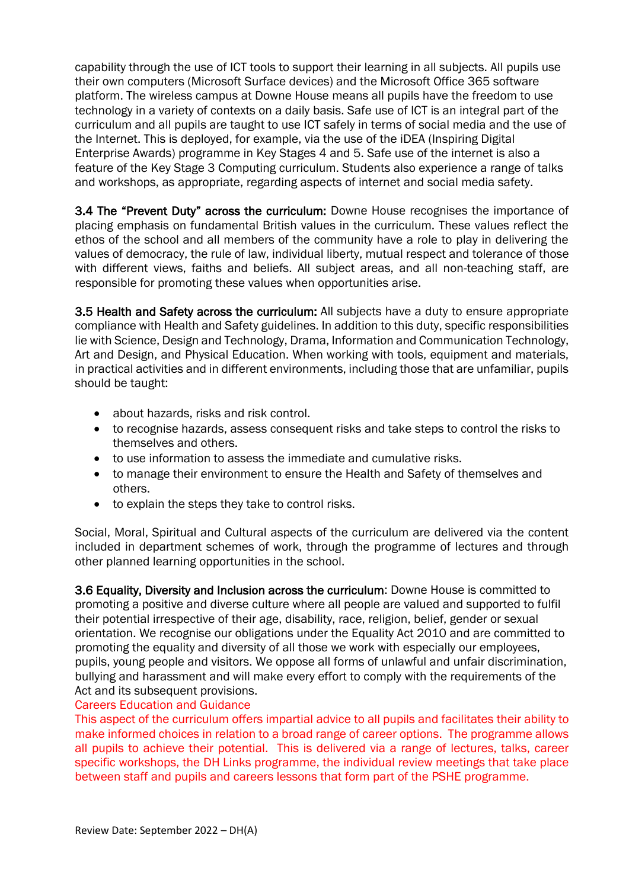capability through the use of ICT tools to support their learning in all subjects. All pupils use their own computers (Microsoft Surface devices) and the Microsoft Office 365 software platform. The wireless campus at Downe House means all pupils have the freedom to use technology in a variety of contexts on a daily basis. Safe use of ICT is an integral part of the curriculum and all pupils are taught to use ICT safely in terms of social media and the use of the Internet. This is deployed, for example, via the use of the iDEA (Inspiring Digital Enterprise Awards) programme in Key Stages 4 and 5. Safe use of the internet is also a feature of the Key Stage 3 Computing curriculum. Students also experience a range of talks and workshops, as appropriate, regarding aspects of internet and social media safety.

3.4 The "Prevent Duty" across the curriculum: Downe House recognises the importance of placing emphasis on fundamental British values in the curriculum. These values reflect the ethos of the school and all members of the community have a role to play in delivering the values of democracy, the rule of law, individual liberty, mutual respect and tolerance of those with different views, faiths and beliefs. All subject areas, and all non-teaching staff, are responsible for promoting these values when opportunities arise.

3.5 Health and Safety across the curriculum: All subjects have a duty to ensure appropriate compliance with Health and Safety guidelines. In addition to this duty, specific responsibilities lie with Science, Design and Technology, Drama, Information and Communication Technology, Art and Design, and Physical Education. When working with tools, equipment and materials, in practical activities and in different environments, including those that are unfamiliar, pupils should be taught:

- about hazards, risks and risk control.
- to recognise hazards, assess consequent risks and take steps to control the risks to themselves and others.
- to use information to assess the immediate and cumulative risks.
- to manage their environment to ensure the Health and Safety of themselves and others.
- to explain the steps they take to control risks.

Social, Moral, Spiritual and Cultural aspects of the curriculum are delivered via the content included in department schemes of work, through the programme of lectures and through other planned learning opportunities in the school.

3.6 Equality, Diversity and Inclusion across the curriculum: Downe House is committed to promoting a positive and diverse culture where all people are valued and supported to fulfil their potential irrespective of their age, disability, race, religion, belief, gender or sexual orientation. We recognise our obligations under the Equality Act 2010 and are committed to promoting the equality and diversity of all those we work with especially our employees, pupils, young people and visitors. We oppose all forms of unlawful and unfair discrimination, bullying and harassment and will make every effort to comply with the requirements of the Act and its subsequent provisions.

#### Careers Education and Guidance

This aspect of the curriculum offers impartial advice to all pupils and facilitates their ability to make informed choices in relation to a broad range of career options. The programme allows all pupils to achieve their potential. This is delivered via a range of lectures, talks, career specific workshops, the DH Links programme, the individual review meetings that take place between staff and pupils and careers lessons that form part of the PSHE programme.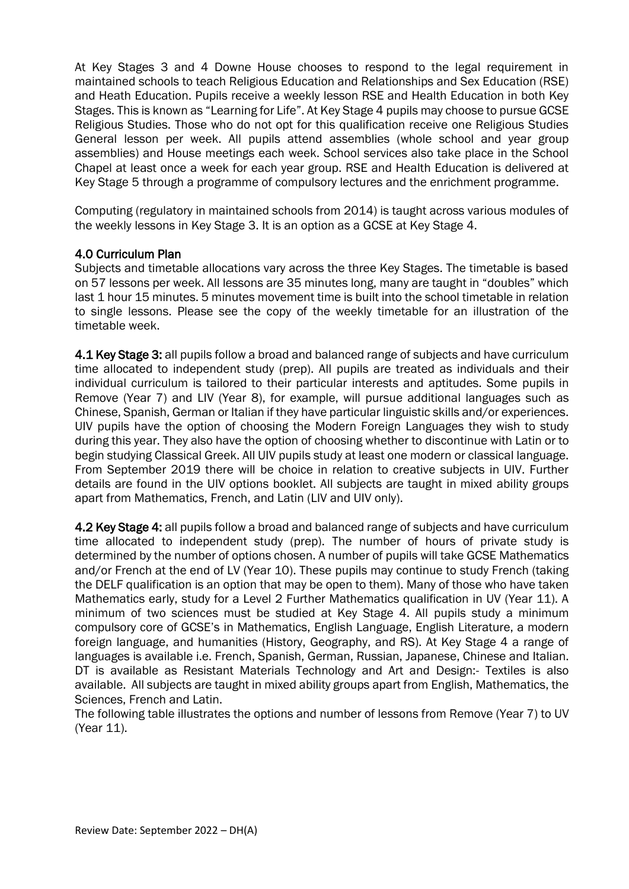At Key Stages 3 and 4 Downe House chooses to respond to the legal requirement in maintained schools to teach Religious Education and Relationships and Sex Education (RSE) and Heath Education. Pupils receive a weekly lesson RSE and Health Education in both Key Stages. This is known as "Learning for Life". At Key Stage 4 pupils may choose to pursue GCSE Religious Studies. Those who do not opt for this qualification receive one Religious Studies General lesson per week. All pupils attend assemblies (whole school and year group assemblies) and House meetings each week. School services also take place in the School Chapel at least once a week for each year group. RSE and Health Education is delivered at Key Stage 5 through a programme of compulsory lectures and the enrichment programme.

Computing (regulatory in maintained schools from 2014) is taught across various modules of the weekly lessons in Key Stage 3. It is an option as a GCSE at Key Stage 4.

#### 4.0 Curriculum Plan

Subjects and timetable allocations vary across the three Key Stages. The timetable is based on 57 lessons per week. All lessons are 35 minutes long, many are taught in "doubles" which last 1 hour 15 minutes. 5 minutes movement time is built into the school timetable in relation to single lessons. Please see the copy of the weekly timetable for an illustration of the timetable week.

4.1 Key Stage 3: all pupils follow a broad and balanced range of subjects and have curriculum time allocated to independent study (prep). All pupils are treated as individuals and their individual curriculum is tailored to their particular interests and aptitudes. Some pupils in Remove (Year 7) and LIV (Year 8), for example, will pursue additional languages such as Chinese, Spanish, German or Italian if they have particular linguistic skills and/or experiences. UIV pupils have the option of choosing the Modern Foreign Languages they wish to study during this year. They also have the option of choosing whether to discontinue with Latin or to begin studying Classical Greek. All UIV pupils study at least one modern or classical language. From September 2019 there will be choice in relation to creative subjects in UIV. Further details are found in the UIV options booklet. All subjects are taught in mixed ability groups apart from Mathematics, French, and Latin (LIV and UIV only).

4.2 Key Stage 4: all pupils follow a broad and balanced range of subjects and have curriculum time allocated to independent study (prep). The number of hours of private study is determined by the number of options chosen. A number of pupils will take GCSE Mathematics and/or French at the end of LV (Year 10). These pupils may continue to study French (taking the DELF qualification is an option that may be open to them). Many of those who have taken Mathematics early, study for a Level 2 Further Mathematics qualification in UV (Year 11). A minimum of two sciences must be studied at Key Stage 4. All pupils study a minimum compulsory core of GCSE's in Mathematics, English Language, English Literature, a modern foreign language, and humanities (History, Geography, and RS). At Key Stage 4 a range of languages is available i.e. French, Spanish, German, Russian, Japanese, Chinese and Italian. DT is available as Resistant Materials Technology and Art and Design:- Textiles is also available. All subjects are taught in mixed ability groups apart from English, Mathematics, the Sciences, French and Latin.

The following table illustrates the options and number of lessons from Remove (Year 7) to UV (Year 11).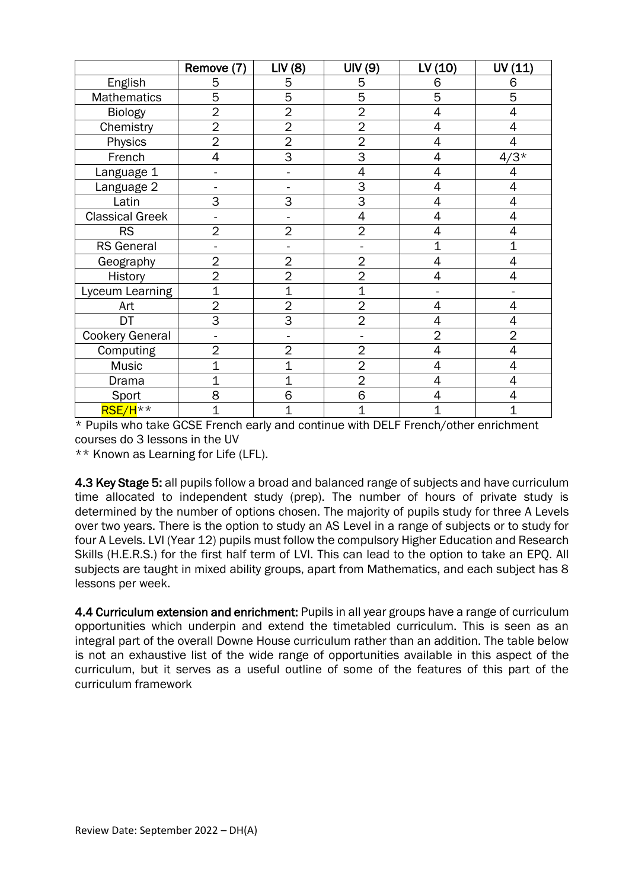|                        | Remove (7)     | LIV(8)         | UIV(9)         | LV(10)         | UV (11)        |
|------------------------|----------------|----------------|----------------|----------------|----------------|
| English                | 5              | 5              | 5              | 6              | 6              |
| <b>Mathematics</b>     | 5              | 5              | 5              | 5              | 5              |
| <b>Biology</b>         | $\overline{2}$ | $\overline{2}$ | $\overline{2}$ | 4              | 4              |
| Chemistry              | $\overline{2}$ | $\overline{2}$ | $\overline{2}$ | 4              | 4              |
| Physics                | $\overline{2}$ | $\overline{2}$ | $\overline{2}$ | 4              | 4              |
| French                 | 4              | 3              | 3              | 4              | $4/3*$         |
| Language 1             |                |                | 4              | 4              | 4              |
| Language 2             |                |                | 3              | 4              | 4              |
| Latin                  | 3              | 3              | 3              | 4              | 4              |
| <b>Classical Greek</b> |                |                | 4              | 4              | 4              |
| <b>RS</b>              | $\overline{2}$ | $\overline{2}$ | $\overline{2}$ | 4              | 4              |
| <b>RS</b> General      |                |                |                | 1              | $\overline{1}$ |
| Geography              | $\overline{2}$ | $\overline{2}$ | $\overline{2}$ | 4              | 4              |
| History                | $\overline{2}$ | $\overline{2}$ | $\overline{2}$ | 4              | 4              |
| Lyceum Learning        | $\overline{1}$ | $\overline{1}$ | $\overline{1}$ |                |                |
| Art                    | $\overline{2}$ | $\overline{2}$ | $\overline{2}$ | 4              | 4              |
| DT                     | $\overline{3}$ | $\overline{3}$ | $\overline{2}$ | 4              | 4              |
| <b>Cookery General</b> |                |                |                | $\overline{2}$ | $\overline{2}$ |
| Computing              | $\overline{2}$ | $\overline{2}$ | $\overline{2}$ | 4              | 4              |
| Music                  | $\overline{1}$ | $\overline{1}$ | $\overline{2}$ | 4              | 4              |
| Drama                  | $\overline{1}$ | 1              | $\overline{2}$ | 4              | 4              |
| Sport                  | 8              | 6              | 6              | 4              | 4              |
| RSE/H <sup>**</sup>    | $\overline{1}$ | 1              | $\overline{1}$ | 1              | 1              |

\* Pupils who take GCSE French early and continue with DELF French/other enrichment courses do 3 lessons in the UV

\*\* Known as Learning for Life (LFL).

4.3 Key Stage 5: all pupils follow a broad and balanced range of subjects and have curriculum time allocated to independent study (prep). The number of hours of private study is determined by the number of options chosen. The majority of pupils study for three A Levels over two years. There is the option to study an AS Level in a range of subjects or to study for four A Levels. LVI (Year 12) pupils must follow the compulsory Higher Education and Research Skills (H.E.R.S.) for the first half term of LVI. This can lead to the option to take an EPQ. All subjects are taught in mixed ability groups, apart from Mathematics, and each subject has 8 lessons per week.

4.4 Curriculum extension and enrichment: Pupils in all year groups have a range of curriculum opportunities which underpin and extend the timetabled curriculum. This is seen as an integral part of the overall Downe House curriculum rather than an addition. The table below is not an exhaustive list of the wide range of opportunities available in this aspect of the curriculum, but it serves as a useful outline of some of the features of this part of the curriculum framework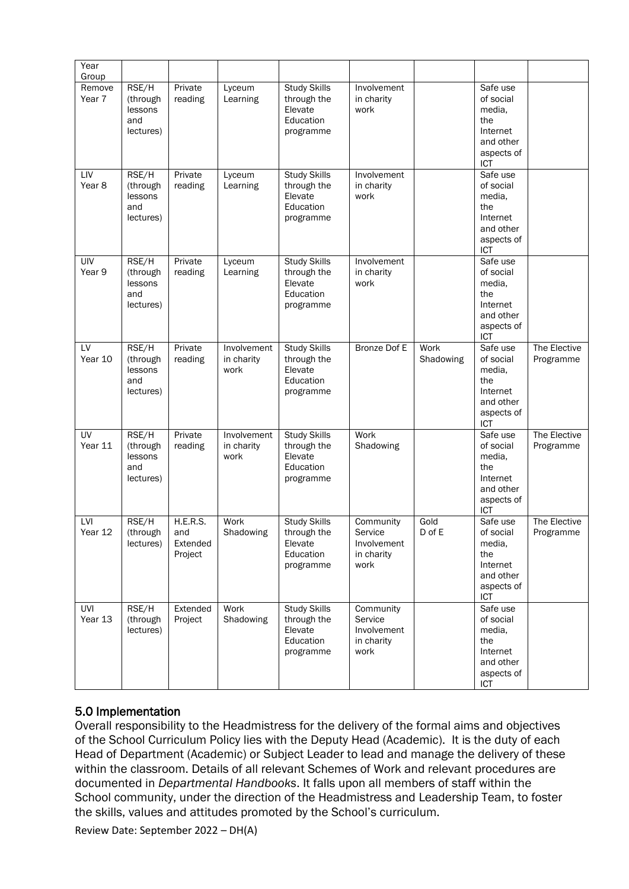| Year<br>Group    |                                                  |                                        |                                   |                                                                         |                                                           |                   |                                                                                             |                           |
|------------------|--------------------------------------------------|----------------------------------------|-----------------------------------|-------------------------------------------------------------------------|-----------------------------------------------------------|-------------------|---------------------------------------------------------------------------------------------|---------------------------|
| Remove<br>Year 7 | RSE/H<br>(through<br>lessons<br>and<br>lectures) | Private<br>reading                     | Lyceum<br>Learning                | <b>Study Skills</b><br>through the<br>Elevate<br>Education<br>programme | Involvement<br>in charity<br>work                         |                   | Safe use<br>of social<br>media,<br>the<br>Internet<br>and other<br>aspects of<br>ICT        |                           |
| LIV<br>Year 8    | RSE/H<br>(through<br>lessons<br>and<br>lectures) | Private<br>reading                     | Lyceum<br>Learning                | <b>Study Skills</b><br>through the<br>Elevate<br>Education<br>programme | Involvement<br>in charity<br>work                         |                   | Safe use<br>of social<br>media,<br>the<br>Internet<br>and other<br>aspects of<br><b>ICT</b> |                           |
| UIV<br>Year 9    | RSE/H<br>(through<br>lessons<br>and<br>lectures) | Private<br>reading                     | Lyceum<br>Learning                | <b>Study Skills</b><br>through the<br>Elevate<br>Education<br>programme | Involvement<br>in charity<br>work                         |                   | Safe use<br>of social<br>media,<br>the<br>Internet<br>and other<br>aspects of<br>ICT        |                           |
| LV<br>Year 10    | RSE/H<br>(through<br>lessons<br>and<br>lectures) | Private<br>reading                     | Involvement<br>in charity<br>work | <b>Study Skills</b><br>through the<br>Elevate<br>Education<br>programme | Bronze Dof E                                              | Work<br>Shadowing | Safe use<br>of social<br>media,<br>the<br>Internet<br>and other<br>aspects of<br>ICT        | The Elective<br>Programme |
| UV<br>Year 11    | RSE/H<br>(through<br>lessons<br>and<br>lectures) | Private<br>reading                     | Involvement<br>in charity<br>work | Study Skills<br>through the<br>Elevate<br>Education<br>programme        | Work<br>Shadowing                                         |                   | Safe use<br>of social<br>media,<br>the<br>Internet<br>and other<br>aspects of<br>ICT        | The Elective<br>Programme |
| LVI<br>Year 12   | RSE/H<br>(through<br>lectures)                   | H.E.R.S.<br>and<br>Extended<br>Project | Work<br>Shadowing                 | <b>Study Skills</b><br>through the<br>Elevate<br>Education<br>programme | Community<br>Service<br>Involvement<br>in charity<br>work | Gold<br>D of E    | Safe use<br>of social<br>media,<br>the<br>Internet<br>and other<br>aspects of<br><b>ICT</b> | The Elective<br>Programme |
| UVI<br>Year 13   | RSE/H<br>(through<br>lectures)                   | Extended<br>Project                    | Work<br>Shadowing                 | <b>Study Skills</b><br>through the<br>Elevate<br>Education<br>programme | Community<br>Service<br>Involvement<br>in charity<br>work |                   | Safe use<br>of social<br>media,<br>the<br>Internet<br>and other<br>aspects of<br>ICT        |                           |

#### 5.0 Implementation

Overall responsibility to the Headmistress for the delivery of the formal aims and objectives of the School Curriculum Policy lies with the Deputy Head (Academic). It is the duty of each Head of Department (Academic) or Subject Leader to lead and manage the delivery of these within the classroom. Details of all relevant Schemes of Work and relevant procedures are documented in *Departmental Handbooks*. It falls upon all members of staff within the School community, under the direction of the Headmistress and Leadership Team, to foster the skills, values and attitudes promoted by the School's curriculum.

Review Date: September 2022 – DH(A)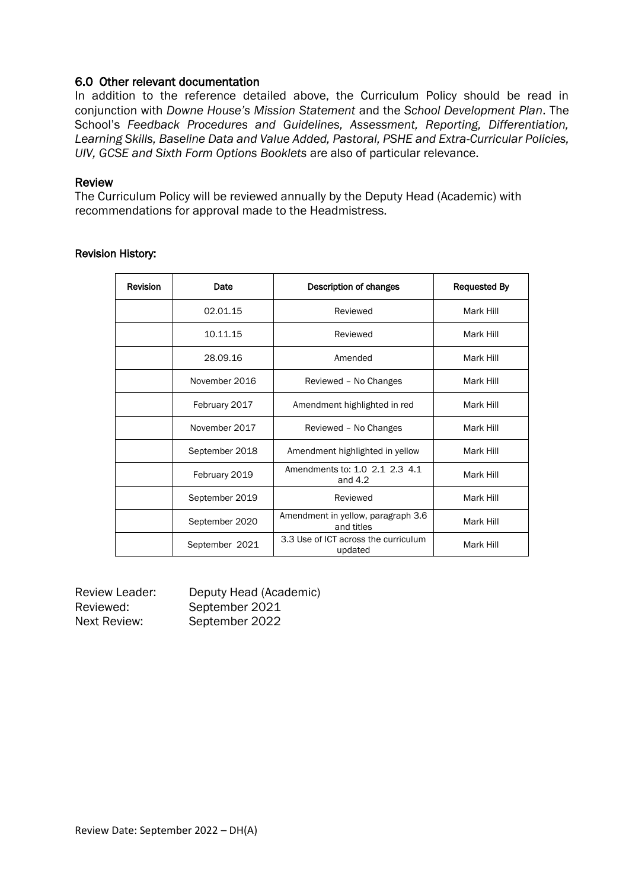#### 6.0 Other relevant documentation

In addition to the reference detailed above, the Curriculum Policy should be read in conjunction with *Downe House's Mission Statement* and the *School Development Plan*. The School's *Feedback Procedures and Guidelines, Assessment, Reporting, Differentiation, Learning Skills, Baseline Data and Value Added, Pastoral, PSHE and Extra-Curricular Policies, UIV, GCSE and Sixth Form Options Booklets* are also of particular relevance.

#### Review

The Curriculum Policy will be reviewed annually by the Deputy Head (Academic) with recommendations for approval made to the Headmistress.

| <b>Revision</b> | Date           | Description of changes                           | <b>Requested By</b> |
|-----------------|----------------|--------------------------------------------------|---------------------|
|                 | 02.01.15       | Reviewed                                         | Mark Hill           |
|                 | 10.11.15       | Reviewed                                         | Mark Hill           |
|                 | 28.09.16       | Amended                                          | Mark Hill           |
|                 | November 2016  | Reviewed - No Changes                            | Mark Hill           |
|                 | February 2017  | Amendment highlighted in red                     | Mark Hill           |
|                 | November 2017  | Reviewed - No Changes                            | Mark Hill           |
|                 | September 2018 | Amendment highlighted in yellow                  | Mark Hill           |
|                 | February 2019  | Amendments to: 1.0 2.1 2.3 4.1<br>and $4.2$      | Mark Hill           |
|                 | September 2019 | Reviewed                                         | Mark Hill           |
|                 | September 2020 | Amendment in yellow, paragraph 3.6<br>and titles | Mark Hill           |
|                 | September 2021 | 3.3 Use of ICT across the curriculum<br>updated  | Mark Hill           |

#### Revision History:

| <b>Review Leader:</b> | Deputy Head (Academic) |
|-----------------------|------------------------|
| Reviewed:             | September 2021         |
| Next Review:          | September 2022         |